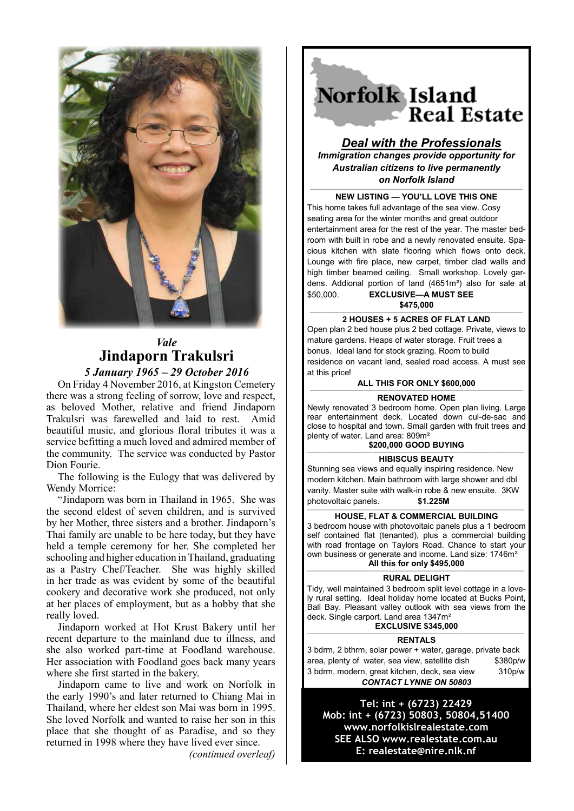

# *Vale* **Jindaporn Trakulsri**

*5 January 1965 – 29 October 2016*

On Friday 4 November 2016, at Kingston Cemetery there was a strong feeling of sorrow, love and respect, as beloved Mother, relative and friend Jindaporn Trakulsri was farewelled and laid to rest. Amid beautiful music, and glorious floral tributes it was a service befitting a much loved and admired member of the community. The service was conducted by Pastor Dion Fourie.

The following is the Eulogy that was delivered by Wendy Morrice:

"Jindaporn was born in Thailand in 1965. She was the second eldest of seven children, and is survived by her Mother, three sisters and a brother. Jindaporn's Thai family are unable to be here today, but they have held a temple ceremony for her. She completed her schooling and higher education in Thailand, graduating as a Pastry Chef/Teacher. She was highly skilled in her trade as was evident by some of the beautiful cookery and decorative work she produced, not only at her places of employment, but as a hobby that she really loved.

Jindaporn worked at Hot Krust Bakery until her recent departure to the mainland due to illness, and she also worked part-time at Foodland warehouse. Her association with Foodland goes back many years where she first started in the bakery.

Jindaporn came to live and work on Norfolk in the early 1990's and later returned to Chiang Mai in Thailand, where her eldest son Mai was born in 1995. She loved Norfolk and wanted to raise her son in this place that she thought of as Paradise, and so they returned in 1998 where they have lived ever since.

*(continued overleaf)*

Norfolk Island **Real Estate** 

## *Deal with the Professionals Immigration changes provide opportunity for Australian citizens to live permanently*

*on Norfolk Island*

———————————————————————————————————————————————————— **NEW LISTING — YOU'LL LOVE THIS ONE** 

This home takes full advantage of the sea view. Cosy seating area for the winter months and great outdoor entertainment area for the rest of the year. The master bedroom with built in robe and a newly renovated ensuite. Spacious kitchen with slate flooring which flows onto deck. Lounge with fire place, new carpet, timber clad walls and high timber beamed ceiling. Small workshop. Lovely gardens. Addional portion of land (4651m²) also for sale at \$50,000. **EXCLUSIVE—A MUST SEE** 

**\$475,000**

#### ———————————————————————————————————————————————————— **2 HOUSES + 5 ACRES OF FLAT LAND**

Open plan 2 bed house plus 2 bed cottage. Private, views to mature gardens. Heaps of water storage. Fruit trees a bonus. Ideal land for stock grazing. Room to build residence on vacant land, sealed road access. A must see at this price!

### **ALL THIS FOR ONLY \$600,000**

#### *————————————————————————————————————————————————————* **RENOVATED HOME**

Newly renovated 3 bedroom home. Open plan living. Large rear entertainment deck. Located down cul-de-sac and close to hospital and town. Small garden with fruit trees and plenty of water. Land area: 809m²

## **\$200,000 GOOD BUYING**

#### *—————————————————————————————————————————————————————* **HIBISCUS BEAUTY**

Stunning sea views and equally inspiring residence. New modern kitchen. Main bathroom with large shower and dbl vanity. Master suite with walk-in robe & new ensuite. 3KW photovoltaic panels. **\$1.225M**

## ————————————————————————————————————————————————————— **HOUSE, FLAT & COMMERCIAL BUILDING**

3 bedroom house with photovoltaic panels plus a 1 bedroom self contained flat (tenanted), plus a commercial building with road frontage on Taylors Road. Chance to start your own business or generate and income. Land size: 1746m² **All this for only \$495,000**

#### ————————————————————————————————————————————————————— **RURAL DELIGHT**

Tidy, well maintained 3 bedroom split level cottage in a lovely rural setting. Ideal holiday home located at Bucks Point, Ball Bay. Pleasant valley outlook with sea views from the deck. Single carport. Land area 1347m² **EXCLUSIVE \$345,000**

—————————————————————————————————————————————————————

**RENTALS**

3 bdrm, 2 bthrm, solar power + water, garage, private back area, plenty of water, sea view, satellite dish \$380p/w 3 bdrm, modern, great kitchen, deck, sea view 310p/w *CONTACT LYNNE ON 50803*

**Tel: int + (6723) 22429 Mob: int + (6723) 50803, 50804,51400 www.norfolkislrealestate.com SEE ALSO www.realestate.com.au E: realestate@nire.nlk.nf**